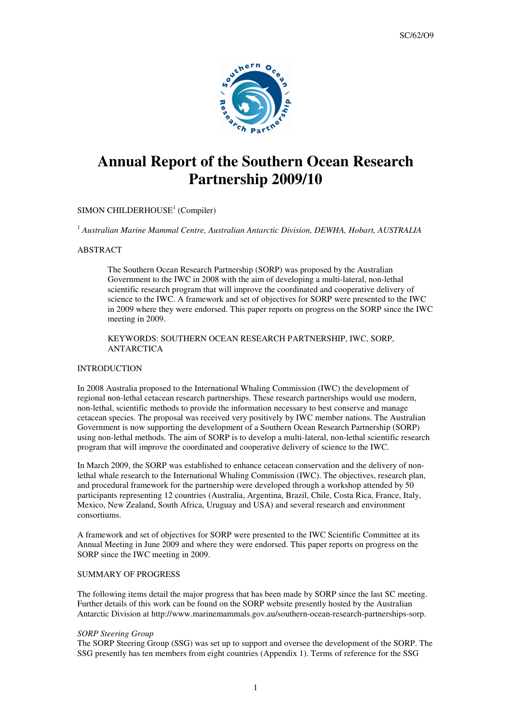

# **Annual Report of the Southern Ocean Research Partnership 2009/10**

## SIMON CHILDERHOUSE<sup>1</sup> (Compiler)

<sup>1</sup> Australian Marine Mammal Centre, Australian Antarctic Division, DEWHA, Hobart, AUSTRALIA

#### ABSTRACT

The Southern Ocean Research Partnership (SORP) was proposed by the Australian Government to the IWC in 2008 with the aim of developing a multi-lateral, non-lethal scientific research program that will improve the coordinated and cooperative delivery of science to the IWC. A framework and set of objectives for SORP were presented to the IWC in 2009 where they were endorsed. This paper reports on progress on the SORP since the IWC meeting in 2009.

### KEYWORDS: SOUTHERN OCEAN RESEARCH PARTNERSHIP, IWC, SORP, ANTARCTICA

## INTRODUCTION

In 2008 Australia proposed to the International Whaling Commission (IWC) the development of regional non-lethal cetacean research partnerships. These research partnerships would use modern, non-lethal, scientific methods to provide the information necessary to best conserve and manage cetacean species. The proposal was received very positively by IWC member nations. The Australian Government is now supporting the development of a Southern Ocean Research Partnership (SORP) using non-lethal methods. The aim of SORP is to develop a multi-lateral, non-lethal scientific research program that will improve the coordinated and cooperative delivery of science to the IWC.

In March 2009, the SORP was established to enhance cetacean conservation and the delivery of nonlethal whale research to the International Whaling Commission (IWC). The objectives, research plan, and procedural framework for the partnership were developed through a workshop attended by 50 participants representing 12 countries (Australia, Argentina, Brazil, Chile, Costa Rica, France, Italy, Mexico, New Zealand, South Africa, Uruguay and USA) and several research and environment consortiums.

A framework and set of objectives for SORP were presented to the IWC Scientific Committee at its Annual Meeting in June 2009 and where they were endorsed. This paper reports on progress on the SORP since the IWC meeting in 2009.

## SUMMARY OF PROGRESS

The following items detail the major progress that has been made by SORP since the last SC meeting. Further details of this work can be found on the SORP website presently hosted by the Australian Antarctic Division at http://www.marinemammals.gov.au/southern-ocean-research-partnerships-sorp.

#### *SORP Steering Group*

The SORP Steering Group (SSG) was set up to support and oversee the development of the SORP. The SSG presently has ten members from eight countries (Appendix 1). Terms of reference for the SSG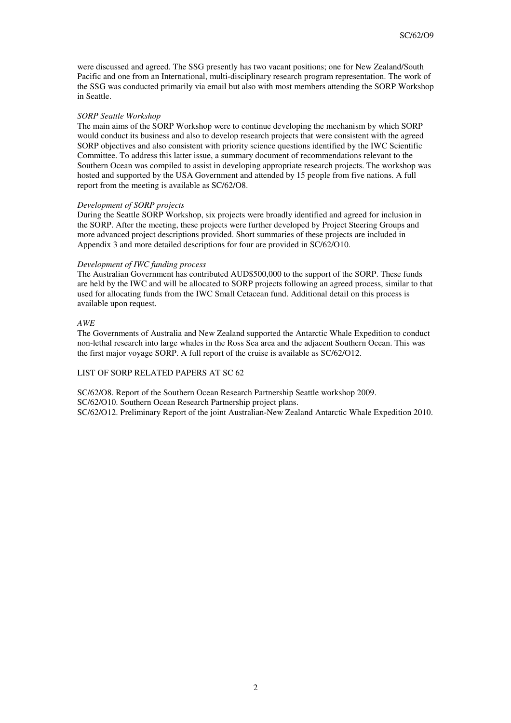were discussed and agreed. The SSG presently has two vacant positions; one for New Zealand/South Pacific and one from an International, multi-disciplinary research program representation. The work of the SSG was conducted primarily via email but also with most members attending the SORP Workshop in Seattle.

#### *SORP Seattle Workshop*

The main aims of the SORP Workshop were to continue developing the mechanism by which SORP would conduct its business and also to develop research projects that were consistent with the agreed SORP objectives and also consistent with priority science questions identified by the IWC Scientific Committee. To address this latter issue, a summary document of recommendations relevant to the Southern Ocean was compiled to assist in developing appropriate research projects. The workshop was hosted and supported by the USA Government and attended by 15 people from five nations. A full report from the meeting is available as SC/62/O8.

#### *Development of SORP projects*

During the Seattle SORP Workshop, six projects were broadly identified and agreed for inclusion in the SORP. After the meeting, these projects were further developed by Project Steering Groups and more advanced project descriptions provided. Short summaries of these projects are included in Appendix 3 and more detailed descriptions for four are provided in SC/62/O10.

#### *Development of IWC funding process*

The Australian Government has contributed AUD\$500,000 to the support of the SORP. These funds are held by the IWC and will be allocated to SORP projects following an agreed process, similar to that used for allocating funds from the IWC Small Cetacean fund. Additional detail on this process is available upon request.

### *AWE*

The Governments of Australia and New Zealand supported the Antarctic Whale Expedition to conduct non-lethal research into large whales in the Ross Sea area and the adjacent Southern Ocean. This was the first major voyage SORP. A full report of the cruise is available as SC/62/O12.

#### LIST OF SORP RELATED PAPERS AT SC 62

SC/62/O8. Report of the Southern Ocean Research Partnership Seattle workshop 2009. SC/62/O10. Southern Ocean Research Partnership project plans. SC/62/O12. Preliminary Report of the joint Australian-New Zealand Antarctic Whale Expedition 2010.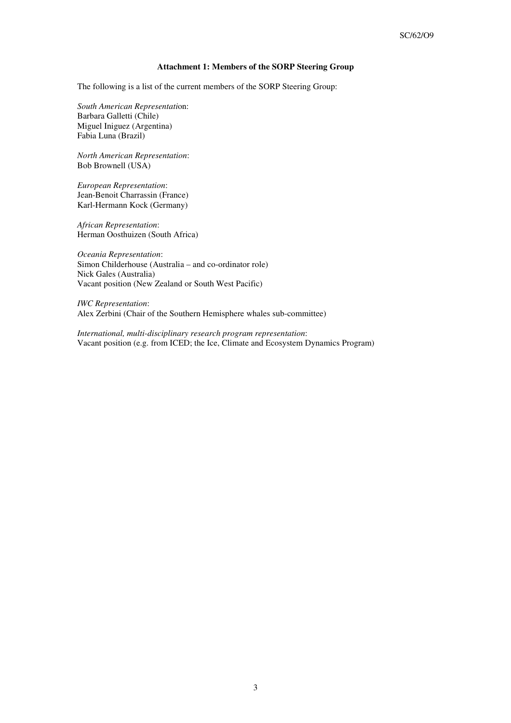## **Attachment 1: Members of the SORP Steering Group**

The following is a list of the current members of the SORP Steering Group:

*South American Representati*on: Barbara Galletti (Chile) Miguel Iniguez (Argentina) Fabia Luna (Brazil)

*North American Representation*: Bob Brownell (USA)

*European Representation*: Jean-Benoit Charrassin (France) Karl-Hermann Kock (Germany)

*African Representation*: Herman Oosthuizen (South Africa)

*Oceania Representation*: Simon Childerhouse (Australia – and co-ordinator role) Nick Gales (Australia) Vacant position (New Zealand or South West Pacific)

*IWC Representation*: Alex Zerbini (Chair of the Southern Hemisphere whales sub-committee)

*International, multi-disciplinary research program representation*: Vacant position (e.g. from ICED; the Ice, Climate and Ecosystem Dynamics Program)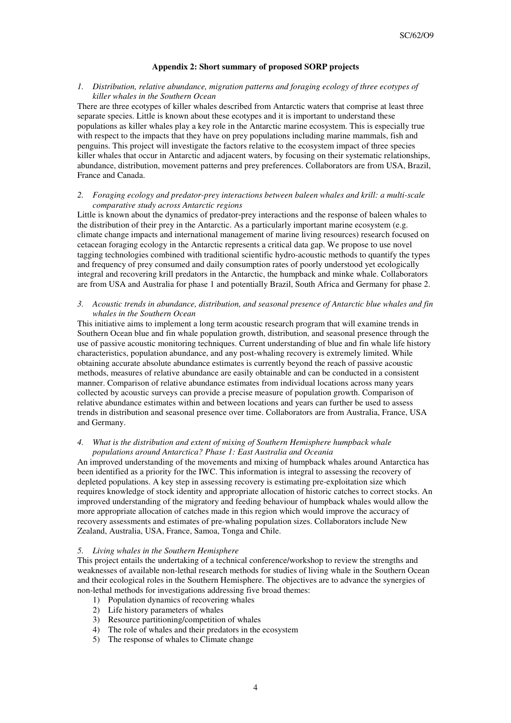## **Appendix 2: Short summary of proposed SORP projects**

#### *1. Distribution, relative abundance, migration patterns and foraging ecology of three ecotypes of killer whales in the Southern Ocean*

There are three ecotypes of killer whales described from Antarctic waters that comprise at least three separate species. Little is known about these ecotypes and it is important to understand these populations as killer whales play a key role in the Antarctic marine ecosystem. This is especially true with respect to the impacts that they have on prey populations including marine mammals, fish and penguins. This project will investigate the factors relative to the ecosystem impact of three species killer whales that occur in Antarctic and adjacent waters, by focusing on their systematic relationships, abundance, distribution, movement patterns and prey preferences. Collaborators are from USA, Brazil, France and Canada.

#### *2. Foraging ecology and predator-prey interactions between baleen whales and krill: a multi-scale comparative study across Antarctic regions*

Little is known about the dynamics of predator‐prey interactions and the response of baleen whales to the distribution of their prey in the Antarctic. As a particularly important marine ecosystem (e.g. climate change impacts and international management of marine living resources) research focused on cetacean foraging ecology in the Antarctic represents a critical data gap. We propose to use novel tagging technologies combined with traditional scientific hydro-acoustic methods to quantify the types and frequency of prey consumed and daily consumption rates of poorly understood yet ecologically integral and recovering krill predators in the Antarctic, the humpback and minke whale. Collaborators are from USA and Australia for phase 1 and potentially Brazil, South Africa and Germany for phase 2.

#### *3. Acoustic trends in abundance, distribution, and seasonal presence of Antarctic blue whales and fin whales in the Southern Ocean*

This initiative aims to implement a long term acoustic research program that will examine trends in Southern Ocean blue and fin whale population growth, distribution, and seasonal presence through the use of passive acoustic monitoring techniques. Current understanding of blue and fin whale life history characteristics, population abundance, and any post-whaling recovery is extremely limited. While obtaining accurate absolute abundance estimates is currently beyond the reach of passive acoustic methods, measures of relative abundance are easily obtainable and can be conducted in a consistent manner. Comparison of relative abundance estimates from individual locations across many years collected by acoustic surveys can provide a precise measure of population growth. Comparison of relative abundance estimates within and between locations and years can further be used to assess trends in distribution and seasonal presence over time. Collaborators are from Australia, France, USA and Germany.

### *4. What is the distribution and extent of mixing of Southern Hemisphere humpback whale populations around Antarctica? Phase 1: East Australia and Oceania*

An improved understanding of the movements and mixing of humpback whales around Antarctica has been identified as a priority for the IWC. This information is integral to assessing the recovery of depleted populations. A key step in assessing recovery is estimating pre-exploitation size which requires knowledge of stock identity and appropriate allocation of historic catches to correct stocks. An improved understanding of the migratory and feeding behaviour of humpback whales would allow the more appropriate allocation of catches made in this region which would improve the accuracy of recovery assessments and estimates of pre-whaling population sizes. Collaborators include New Zealand, Australia, USA, France, Samoa, Tonga and Chile.

#### *5. Living whales in the Southern Hemisphere*

This project entails the undertaking of a technical conference/workshop to review the strengths and weaknesses of available non-lethal research methods for studies of living whale in the Southern Ocean and their ecological roles in the Southern Hemisphere. The objectives are to advance the synergies of non-lethal methods for investigations addressing five broad themes:

- 1) Population dynamics of recovering whales
- 2) Life history parameters of whales
- 3) Resource partitioning/competition of whales
- 4) The role of whales and their predators in the ecosystem
- 5) The response of whales to Climate change